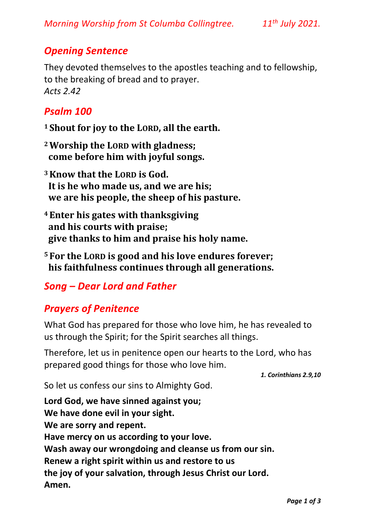## *Opening Sentence*

They devoted themselves to the apostles teaching and to fellowship, to the breaking of bread and to prayer. *Acts 2.42*

#### *Psalm 100*

- **<sup>1</sup> Shout for joy to the LORD, all the earth.**
- **<sup>2</sup>Worship the LORD with gladness; come before him with joyful songs.**
- **<sup>3</sup>Know that the LORD is God. It is he who made us, and we are his; we are his people, the sheep of his pasture.**
- **<sup>4</sup> Enter his gates with thanksgiving and his courts with praise; give thanks to him and praise his holy name.**
- **<sup>5</sup> For the LORD is good and his love endures forever; his faithfulness continues through all generations.**

# *Song – Dear Lord and Father*

# *Prayers of Penitence*

What God has prepared for those who love him, he has revealed to us through the Spirit; for the Spirit searches all things.

Therefore, let us in penitence open our hearts to the Lord, who has prepared good things for those who love him.

*1. Corinthians 2.9,10* 

So let us confess our sins to Almighty God.

**Lord God, we have sinned against you; We have done evil in your sight. We are sorry and repent. Have mercy on us according to your love. Wash away our wrongdoing and cleanse us from our sin. Renew a right spirit within us and restore to us the joy of your salvation, through Jesus Christ our Lord. Amen.**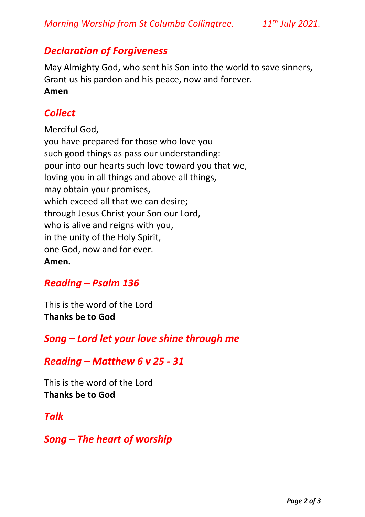### *Declaration of Forgiveness*

May Almighty God, who sent his Son into the world to save sinners, Grant us his pardon and his peace, now and forever. **Amen** 

## *Collect*

Merciful God, you have prepared for those who love you such good things as pass our understanding: pour into our hearts such love toward you that we, loving you in all things and above all things, may obtain your promises, which exceed all that we can desire; through Jesus Christ your Son our Lord, who is alive and reigns with you, in the unity of the Holy Spirit, one God, now and for ever. **Amen.**

# *Reading – Psalm 136*

This is the word of the Lord **Thanks be to God**

### *Song – Lord let your love shine through me*

#### *Reading – Matthew 6 v 25 - 31*

This is the word of the Lord **Thanks be to God**

### *Talk*

*Song – The heart of worship*